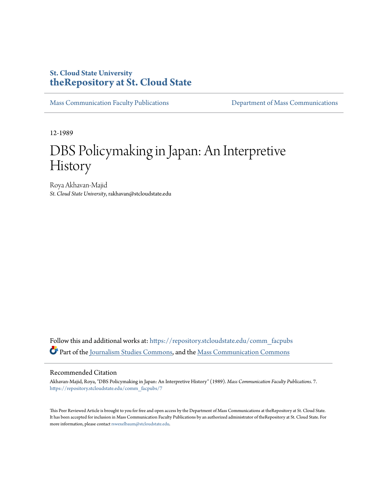# **St. Cloud State University [theRepository at St. Cloud State](https://repository.stcloudstate.edu?utm_source=repository.stcloudstate.edu%2Fcomm_facpubs%2F7&utm_medium=PDF&utm_campaign=PDFCoverPages)**

[Mass Communication Faculty Publications](https://repository.stcloudstate.edu/comm_facpubs?utm_source=repository.stcloudstate.edu%2Fcomm_facpubs%2F7&utm_medium=PDF&utm_campaign=PDFCoverPages) [Department of Mass Communications](https://repository.stcloudstate.edu/comm?utm_source=repository.stcloudstate.edu%2Fcomm_facpubs%2F7&utm_medium=PDF&utm_campaign=PDFCoverPages)

12-1989

# DBS Policymaking in Japan: An Interpretive History

Roya Akhavan-Majid *St. Cloud State University*, rakhavan@stcloudstate.edu

Follow this and additional works at: [https://repository.stcloudstate.edu/comm\\_facpubs](https://repository.stcloudstate.edu/comm_facpubs?utm_source=repository.stcloudstate.edu%2Fcomm_facpubs%2F7&utm_medium=PDF&utm_campaign=PDFCoverPages) Part of the [Journalism Studies Commons](http://network.bepress.com/hgg/discipline/333?utm_source=repository.stcloudstate.edu%2Fcomm_facpubs%2F7&utm_medium=PDF&utm_campaign=PDFCoverPages), and the [Mass Communication Commons](http://network.bepress.com/hgg/discipline/334?utm_source=repository.stcloudstate.edu%2Fcomm_facpubs%2F7&utm_medium=PDF&utm_campaign=PDFCoverPages)

#### Recommended Citation

Akhavan-Majid, Roya, "DBS Policymaking in Japan: An Interpretive History" (1989). *Mass Communication Faculty Publications*. 7. [https://repository.stcloudstate.edu/comm\\_facpubs/7](https://repository.stcloudstate.edu/comm_facpubs/7?utm_source=repository.stcloudstate.edu%2Fcomm_facpubs%2F7&utm_medium=PDF&utm_campaign=PDFCoverPages)

This Peer Reviewed Article is brought to you for free and open access by the Department of Mass Communications at theRepository at St. Cloud State. It has been accepted for inclusion in Mass Communication Faculty Publications by an authorized administrator of theRepository at St. Cloud State. For more information, please contact [rswexelbaum@stcloudstate.edu](mailto:rswexelbaum@stcloudstate.edu).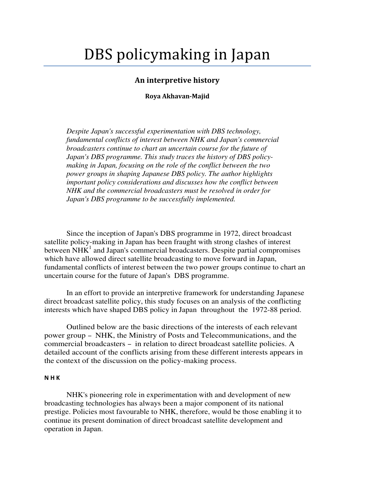# DBS policymaking in Japan

# An interpretive history

Roya Akhavan-Majid

*Despite Japan's successful experimentation with DBS technology, fundamental conflicts of interest between NHK and Japan's commercial broadcasters continue to chart an uncertain course for the future of Japan's DBS programme. This study traces the history of DBS policymaking in Japan, focusing on the role of the conflict between the two power groups in shaping Japanese DBS policy. The author highlights important policy considerations and discusses how the conflict between NHK and the commercial broadcasters must be resolved in order for Japan's DBS programme to be successfully implemented.* 

Since the inception of Japan's DBS programme in 1972, direct broadcast satellite policy-making in Japan has been fraught with strong clashes of interest between  $NHK<sup>1</sup>$  and Japan's commercial broadcasters. Despite partial compromises which have allowed direct satellite broadcasting to move forward in Japan, fundamental conflicts of interest between the two power groups continue to chart an uncertain course for the future of Japan's DBS programme.

In an effort to provide an interpretive framework for understanding Japanese direct broadcast satellite policy, this study focuses on an analysis of the conflicting interests which have shaped DBS policy in Japan throughout the 1972-88 period.

Outlined below are the basic directions of the interests of each relevant power group - NHK, the Ministry of Posts and Telecommunications, and the commercial broadcasters - in relation to direct broadcast satellite policies. A detailed account of the conflicts arising from these different interests appears in the context of the discussion on the policy-making process.

#### N H K

NHK's pioneering role in experimentation with and development of new broadcasting technologies has always been a major component of its national prestige. Policies most favourable to NHK, therefore, would be those enabling it to continue its present domination of direct broadcast satellite development and operation in Japan.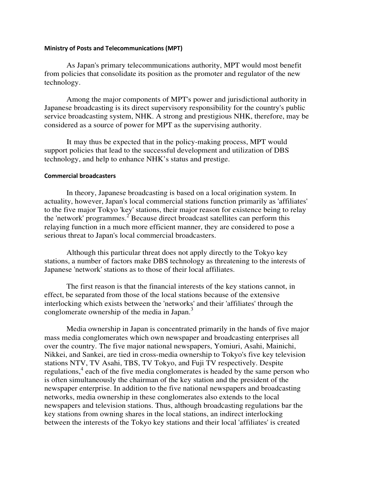#### Ministry of Posts and Telecommunications (MPT)

As Japan's primary telecommunications authority, MPT would most benefit from policies that consolidate its position as the promoter and regulator of the new technology.

Among the major components of MPT's power and jurisdictional authority in Japanese broadcasting is its direct supervisory responsibility for the country's public service broadcasting system, NHK. A strong and prestigious NHK, therefore, may be considered as a source of power for MPT as the supervising authority.

It may thus be expected that in the policy-making process, MPT would support policies that lead to the successful development and utilization of DBS technology, and help to enhance NHK's status and prestige.

### Commercial broadcasters

In theory, Japanese broadcasting is based on a local origination system. In actuality, however, Japan's local commercial stations function primarily as 'affiliates' to the five major Tokyo 'key' stations, their major reason for existence being to relay the 'network' programmes.<sup>2</sup> Because direct broadcast satellites can perform this relaying function in a much more efficient manner, they are considered to pose a serious threat to Japan's local commercial broadcasters.

Although this particular threat does not apply directly to the Tokyo key stations, a number of factors make DBS technology as threatening to the interests of Japanese 'network' stations as to those of their local affiliates.

The first reason is that the financial interests of the key stations cannot, in effect, be separated from those of the local stations because of the extensive interlocking which exists between the 'networks' and their 'affiliates' through the conglomerate ownership of the media in Japan.<sup>3</sup>

Media ownership in Japan is concentrated primarily in the hands of five major mass media conglomerates which own newspaper and broadcasting enterprises all over the country. The five major national newspapers, Yomiuri, Asahi, Mainichi, Nikkei, and Sankei, are tied in cross-media ownership to Tokyo's five key television stations NTV, TV Asahi, TBS, TV Tokyo, and Fuji TV respectively. Despite regulations,<sup>4</sup> each of the five media conglomerates is headed by the same person who is often simultaneously the chairman of the key station and the president of the newspaper enterprise. In addition to the five national newspapers and broadcasting networks, media ownership in these conglomerates also extends to the local newspapers and television stations. Thus, although broadcasting regulations bar the key stations from owning shares in the local stations, an indirect interlocking between the interests of the Tokyo key stations and their local 'affiliates' is created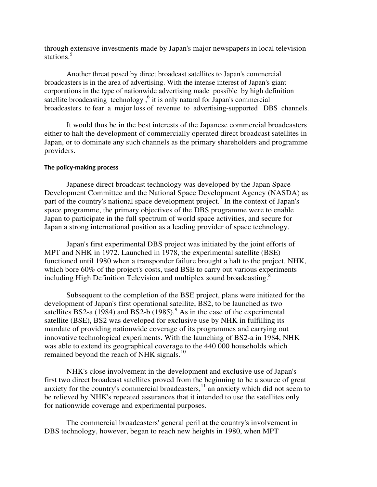through extensive investments made by Japan's major newspapers in local television stations.<sup>5</sup>

Another threat posed by direct broadcast satellites to Japan's commercial broadcasters is in the area of advertising. With the intense interest of Japan's giant corporations in the type of nationwide advertising made possible by high definition satellite broadcasting technology,<sup>6</sup> it is only natural for Japan's commercial broadcasters to fear a major loss of revenue to advertising-supported DBS channels.

It would thus be in the best interests of the Japanese commercial broadcasters either to halt the development of commercially operated direct broadcast satellites in Japan, or to dominate any such channels as the primary shareholders and programme providers.

#### The policy-making process

Japanese direct broadcast technology was developed by the Japan Space Development Committee and the National Space Development Agency (NASDA) as part of the country's national space development project.<sup>7</sup> In the context of Japan's space programme, the primary objectives of the DBS programme were to enable Japan to participate in the full spectrum of world space activities, and secure for Japan a strong international position as a leading provider of space technology.

Japan's first experimental DBS project was initiated by the joint efforts of MPT and NHK in 1972. Launched in 1978, the experimental satellite (BSE) functioned until 1980 when a transponder failure brought a halt to the project. NHK, which bore 60% of the project's costs, used BSE to carry out various experiments including High Definition Television and multiplex sound broadcasting.<sup>8</sup>

Subsequent to the completion of the BSE project, plans were initiated for the development of Japan's first operational satellite, BS2, to be launched as two satellites BS2-a (1984) and BS2-b (1985).<sup>9</sup> As in the case of the experimental satellite (BSE), BS2 was developed for exclusive use by NHK in fulfilling its mandate of providing nationwide coverage of its programmes and carrying out innovative technological experiments. With the launching of BS2-a in 1984, NHK was able to extend its geographical coverage to the 440 000 households which remained beyond the reach of NHK signals. $^{10}$ 

NHK's close involvement in the development and exclusive use of Japan's first two direct broadcast satellites proved from the beginning to be a source of great anxiety for the country's commercial broadcasters, $\frac{11}{1}$  an anxiety which did not seem to be relieved by NHK's repeated assurances that it intended to use the satellites only for nationwide coverage and experimental purposes.

The commercial broadcasters' general peril at the country's involvement in DBS technology, however, began to reach new heights in 1980, when MPT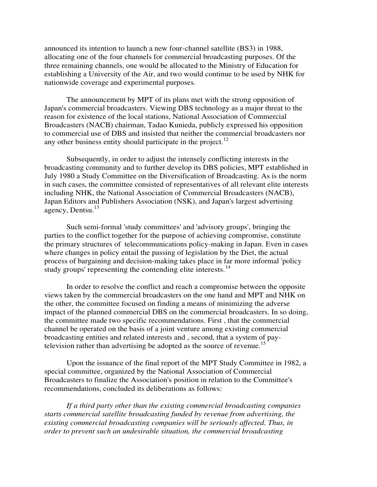announced its intention to launch a new four-channel satellite (BS3) in 1988, allocating one of the four channels for commercial broadcasting purposes. Of the three remaining channels, one would be allocated to the Ministry of Education for establishing a University of the Air, and two would continue to be used by NHK for nationwide coverage and experimental purposes.

The announcement by MPT of its plans met with the strong opposition of Japan's commercial broadcasters. Viewing DBS technology as a major threat to the reason for existence of the local stations, National Association of Commercial Broadcasters (NACB) chairman, Tadao Kunieda, publicly expressed his opposition to commercial use of DBS and insisted that neither the commercial broadcasters nor any other business entity should participate in the project. $^{12}$ 

Subsequently, in order to adjust the intensely conflicting interests in the broadcasting community and to further develop its DBS policies, MPT established in July 1980 a Study Committee on the Diversification of Broadcasting. As is the norm in such cases, the committee consisted of representatives of all relevant elite interests including NHK, the National Association of Commercial Broadcasters (NACB), Japan Editors and Publishers Association (NSK), and Japan's largest advertising agency, Dentsu. $^{13}$ 

Such semi-formal 'study committees' and 'advisory groups', bringing the parties to the conflict together for the purpose of achieving compromise, constitute the primary structures of telecommunications policy-making in Japan. Even in cases where changes in policy entail the passing of legislation by the Diet, the actual process of bargaining and decision-making takes place in far more informal 'policy study groups' representing the contending elite interests.<sup>14</sup>

In order to resolve the conflict and reach a compromise between the opposite views taken by the commercial broadcasters on the one hand and MPT and NHK on the other, the committee focused on finding a means of minimizing the adverse impact of the planned commercial DBS on the commercial broadcasters. In so doing, the committee made two specific recommendations. First , that the commercial channel be operated on the basis of a joint venture among existing commercial broadcasting entities and related interests and , second, that a system of paytelevision rather than advertising be adopted as the source of revenue.<sup>15</sup>

Upon the issuance of the final report of the MPT Study Committee in 1982, a special committee, organized by the National Association of Commercial Broadcasters to finalize the Association's position in relation to the Committee's recommendations, concluded its deliberations as follows:

*If a third party other than the existing commercial broadcasting companies starts commercial satellite broadcasting funded by revenue from advertising, the existing commercial broadcasting companies will be seriously affected. Thus, in order to prevent such an undesirable situation, the commercial broadcasting*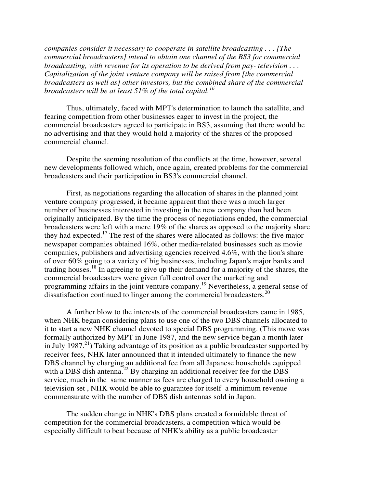*companies consider it necessary to cooperate in satellite broadcasting . . . [The commercial broadcasters] intend to obtain one channel of the BS3 for commercial broadcasting, with revenue for its operation to be derived from pay- television . . . Capitalization of the joint venture company will be raised from [the commercial broadcasters as well as] other investors, but the combined share of the commercial broadcasters will be at least 51% of the total capital.<sup>16</sup>*

Thus, ultimately, faced with MPT's determination to launch the satellite, and fearing competition from other businesses eager to invest in the project, the commercial broadcasters agreed to participate in BS3, assuming that there would be no advertising and that they would hold a majority of the shares of the proposed commercial channel.

Despite the seeming resolution of the conflicts at the time, however, several new developments followed which, once again, created problems for the commercial broadcasters and their participation in BS3's commercial channel.

First, as negotiations regarding the allocation of shares in the planned joint venture company progressed, it became apparent that there was a much larger number of businesses interested in investing in the new company than had been originally anticipated. By the time the process of negotiations ended, the commercial broadcasters were left with a mere 19% of the shares as opposed to the majority share they had expected.<sup>17</sup> The rest of the shares were allocated as follows: the five major newspaper companies obtained 16%, other media-related businesses such as movie companies, publishers and advertising agencies received 4.6%, with the lion's share of over 60% going to a variety of big businesses, including Japan's major banks and trading houses.<sup>18</sup> In agreeing to give up their demand for a majority of the shares, the commercial broadcasters were given full control over the marketing and programming affairs in the joint venture company.<sup>19</sup> Nevertheless, a general sense of dissatisfaction continued to linger among the commercial broadcasters.<sup>20</sup>

A further blow to the interests of the commercial broadcasters came in 1985, when NHK began considering plans to use one of the two DBS channels allocated to it to start a new NHK channel devoted to special DBS programming. (This move was formally authorized by MPT in June 1987, and the new service began a month later in July 1987.<sup>21</sup>) Taking advantage of its position as a public broadcaster supported by receiver fees, NHK later announced that it intended ultimately to finance the new DBS channel by charging an additional fee from all Japanese households equipped with a DBS dish antenna.<sup>22</sup> By charging an additional receiver fee for the DBS service, much in the same manner as fees are charged to every household owning a television set , NHK would be able to guarantee for itself a minimum revenue commensurate with the number of DBS dish antennas sold in Japan.

The sudden change in NHK's DBS plans created a formidable threat of competition for the commercial broadcasters, a competition which would be especially difficult to beat because of NHK's ability as a public broadcaster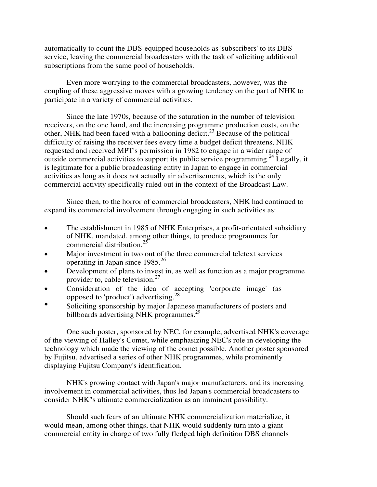automatically to count the DBS-equipped households as 'subscribers' to its DBS service, leaving the commercial broadcasters with the task of soliciting additional subscriptions from the same pool of households.

Even more worrying to the commercial broadcasters, however, was the coupling of these aggressive moves with a growing tendency on the part of NHK to participate in a variety of commercial activities.

Since the late 1970s, because of the saturation in the number of television receivers, on the one hand, and the increasing programme production costs, on the other, NHK had been faced with a ballooning deficit.<sup>23</sup> Because of the political difficulty of raising the receiver fees every time a budget deficit threatens, NHK requested and received MPT's permission in 1982 to engage in a wider range of outside commercial activities to support its public service programming.<sup>24</sup> Legally, it is legitimate for a public broadcasting entity in Japan to engage in commercial activities as long as it does not actually air advertisements, which is the only commercial activity specifically ruled out in the context of the Broadcast Law.

Since then, to the horror of commercial broadcasters, NHK had continued to expand its commercial involvement through engaging in such activities as:

- The establishment in 1985 of NHK Enterprises, a profit-orientated subsidiary of NHK, mandated, among other things, to produce programmes for commercial distribution.<sup>25</sup>
- Major investment in two out of the three commercial teletext services operating in Japan since  $1985.<sup>26</sup>$
- Development of plans to invest in, as well as function as a major programme provider to, cable television.<sup>27</sup>
- Consideration of the idea of accepting 'corporate image' (as opposed to 'product') advertising.<sup>28</sup>
- Soliciting sponsorship by major Japanese manufacturers of posters and billboards advertising NHK programmes.<sup>29</sup>

One such poster, sponsored by NEC, for example, advertised NHK's coverage of the viewing of Halley's Comet, while emphasizing NEC's role in developing the technology which made the viewing of the comet possible. Another poster sponsored by Fujitsu, advertised a series of other NHK programmes, while prominently displaying Fujitsu Company's identification.

NHK's growing contact with Japan's major manufacturers, and its increasing involvement in commercial activities, thus led Japan's commercial broadcasters to consider NHK"s ultimate commercialization as an imminent possibility.

Should such fears of an ultimate NHK commercialization materialize, it would mean, among other things, that NHK would suddenly turn into a giant commercial entity in charge of two fully fledged high definition DBS channels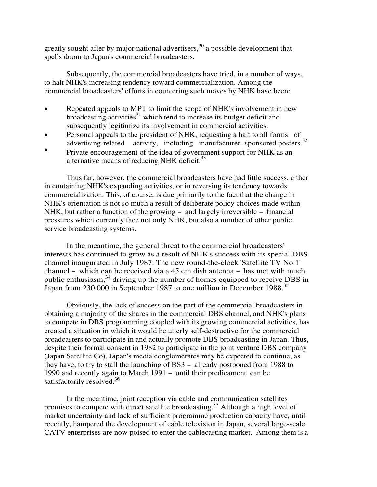greatly sought after by major national advertisers,  $30$  a possible development that spells doom to Japan's commercial broadcasters.

Subsequently, the commercial broadcasters have tried, in a number of ways, to halt NHK's increasing tendency toward commercialization. Among the commercial broadcasters' efforts in countering such moves by NHK have been:

- Repeated appeals to MPT to limit the scope of NHK's involvement in new broadcasting activities $31$  which tend to increase its budget deficit and subsequently legitimize its involvement in commercial activities.
- Personal appeals to the president of NHK, requesting a halt to all forms of advertising-related activity, including manufacturer- sponsored posters.<sup>32</sup>
- Private encouragement of the idea of government support for NHK as an alternative means of reducing NHK deficit.<sup>33</sup>

Thus far, however, the commercial broadcasters have had little success, either in containing NHK's expanding activities, or in reversing its tendency towards commercialization. This, of course, is due primarily to the fact that the change in NHK's orientation is not so much a result of deliberate policy choices made within NHK, but rather a function of the growing – and largely irreversible – financial pressures which currently face not only NHK, but also a number of other public service broadcasting systems.

In the meantime, the general threat to the commercial broadcasters' interests has continued to grow as a result of NHK's success with its special DBS channel inaugurated in July 1987. The new round-the-clock 'Satellite TV No 1' channel - which can be received via a 45 cm dish antenna - has met with much public enthusiasm,<sup>34</sup> driving up the number of homes equipped to receive DBS in Japan from 230 000 in September 1987 to one million in December 1988.<sup>35</sup>

Obviously, the lack of success on the part of the commercial broadcasters in obtaining a majority of the shares in the commercial DBS channel, and NHK's plans to compete in DBS programming coupled with its growing commercial activities, has created a situation in which it would be utterly self-destructive for the commercial broadcasters to participate in and actually promote DBS broadcasting in Japan. Thus, despite their formal consent in 1982 to participate in the joint venture DBS company (Japan Satellite Co), Japan's media conglomerates may be expected to continue, as they have, to try to stall the launching of BS3 - already postponed from 1988 to 1990 and recently again to March 1991 - until their predicament can be satisfactorily resolved.<sup>36</sup>

In the meantime, joint reception via cable and communication satellites promises to compete with direct satellite broadcasting.<sup>37</sup> Although a high level of market uncertainty and lack of sufficient programme production capacity have, until recently, hampered the development of cable television in Japan, several large-scale CATV enterprises are now poised to enter the cablecasting market. Among them is a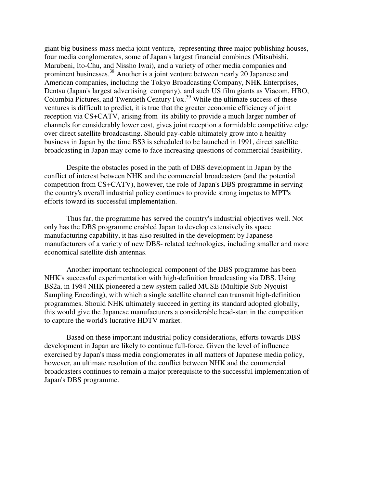giant big business-mass media joint venture, representing three major publishing houses, four media conglomerates, some of Japan's largest financial combines (Mitsubishi, Marubeni, Ito-Chu, and Nissho Iwai), and a variety of other media companies and prominent businesses.<sup>38</sup> Another is a joint venture between nearly 20 Japanese and American companies, including the Tokyo Broadcasting Company, NHK Enterprises, Dentsu (Japan's largest advertising company), and such US film giants as Viacom, HBO, Columbia Pictures, and Twentieth Century Fox.<sup>39</sup> While the ultimate success of these ventures is difficult to predict, it is true that the greater economic efficiency of joint reception via CS+CATV, arising from its ability to provide a much larger number of channels for considerably lower cost, gives joint reception a formidable competitive edge over direct satellite broadcasting. Should pay-cable ultimately grow into a healthy business in Japan by the time BS3 is scheduled to be launched in 1991, direct satellite broadcasting in Japan may come to face increasing questions of commercial feasibility.

Despite the obstacles posed in the path of DBS development in Japan by the conflict of interest between NHK and the commercial broadcasters (and the potential competition from CS+CATV), however, the role of Japan's DBS programme in serving the country's overall industrial policy continues to provide strong impetus to MPT's efforts toward its successful implementation.

Thus far, the programme has served the country's industrial objectives well. Not only has the DBS programme enabled Japan to develop extensively its space manufacturing capability, it has also resulted in the development by Japanese manufacturers of a variety of new DBS- related technologies, including smaller and more economical satellite dish antennas.

Another important technological component of the DBS programme has been NHK's successful experimentation with high-definition broadcasting via DBS. Using BS2a, in 1984 NHK pioneered a new system called MUSE (Multiple Sub-Nyquist Sampling Encoding), with which a single satellite channel can transmit high-definition programmes. Should NHK ultimately succeed in getting its standard adopted globally, this would give the Japanese manufacturers a considerable head-start in the competition to capture the world's lucrative HDTV market.

Based on these important industrial policy considerations, efforts towards DBS development in Japan are likely to continue full-force. Given the level of influence exercised by Japan's mass media conglomerates in all matters of Japanese media policy, however, an ultimate resolution of the conflict between NHK and the commercial broadcasters continues to remain a major prerequisite to the successful implementation of Japan's DBS programme.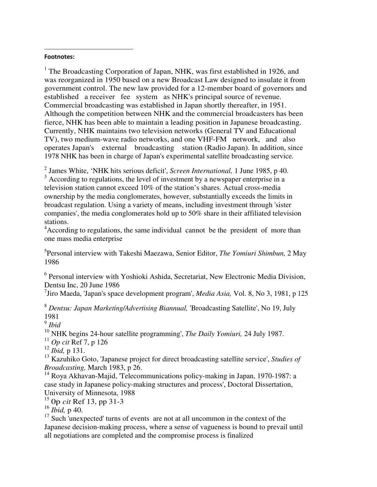## Footnotes:

l

<sup>1</sup> The Broadcasting Corporation of Japan, NHK, was first established in 1926, and was reorganized in 1950 based on a new Broadcast Law designed to insulate it from government control. The new law provided for a 12-member board of governors and established a receiver fee system as NHK's principal source of revenue. Commercial broadcasting was established in Japan shortly thereafter, in 1951. Although the competition between NHK and the commercial broadcasters has been fierce, NHK has been able to maintain a leading position in Japanese broadcasting. Currently, NHK maintains two television networks (General TV and Educational TV), two medium-wave radio networks, and one VHF-FM network, and also operates Japan's external broadcasting station (Radio Japan). In addition, since 1978 NHK has been in charge of Japan's experimental satellite broadcasting service.

2 James White, 'NHK hits serious deficit', *Screen International,* 1 June 1985, p 40.

 $3$  According to regulations, the level of investment by a newspaper enterprise in a television station cannot exceed 10% of the station's shares. Actual cross-media ownership by the media conglomerates, however, substantially exceeds the limits in broadcast regulation. Using a variety of means, including investment through 'sister companies', the media conglomerates hold up to 50% share in their affiliated television stations.

<sup>4</sup> According to regulations, the same individual cannot be the president of more than one mass media enterprise

5 Personal interview with Takeshi Maezawa, Senior Editor, *The Yomiuri Shimbun,* 2 May 1986

<sup>6</sup> Personal interview with Yoshioki Ashida, Secretariat, New Electronic Media Division, Dentsu Inc, 20 June 1986

7 Jiro Maeda, 'Japan's space development program', *Media Asia,* Vol. 8, No 3, 1981, p 125

8  *Dentsu: Japan Marketing/Advertising Biannual,* 'Broadcasting Satellite', No 19, July 1981

9 *Ibid*

<sup>10</sup> NHK begins 24-hour satellite programming', *The Daily Yomiuri,* 24 July 1987.

<sup>11</sup> *Op cit* Ref 7, p 126

<sup>12</sup> *Ibid,* p 131.

<sup>13</sup> Kazuhiko Goto, 'Japanese project for direct broadcasting satellite service', *Studies of Broadcasting,* March 1983, p 26.

<sup>14</sup> Roya Akhavan-Majid, 'Telecommunications policy-making in Japan, 1970-1987: a case study in Japanese policy-making structures and process', Doctoral Dissertation, University of Minnesota, 1988

<sup>15</sup> 0p *cit* Ref 13, pp 31-3

<sup>16</sup> *Ibid,* p 40.

<sup>17</sup> Such 'unexpected' turns of events are not at all uncommon in the context of the Japanese decision-making process, where a sense of vagueness is bound to prevail until all negotiations are completed and the compromise process is finalized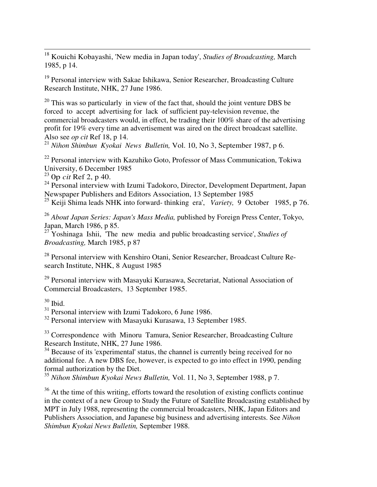<sup>18</sup> Kouichi Kobayashi, 'New media in Japan today', *Studies of Broadcasting,* March 1985, p 14.

<sup>19</sup> Personal interview with Sakae Ishikawa, Senior Researcher, Broadcasting Culture Research Institute, NHK, 27 June 1986.

 $20$  This was so particularly in view of the fact that, should the joint venture DBS be forced to accept advertising for lack of sufficient pay-television revenue, the commercial broadcasters would, in effect, be trading their 100% share of the advertising profit for 19% every time an advertisement was aired on the direct broadcast satellite. Also see *op cit* Ref 18, p 14.

<sup>21</sup> *Nihon Shimbun Kyokai News Bulletin,* Vol. 10, No 3, September 1987, p 6.

 $22$  Personal interview with Kazuhiko Goto, Professor of Mass Communication, Tokiwa University, 6 December 1985

<sup>23</sup> 0p *cit* Ref 2, p 40.

l

 $24$  Personal interview with Izumi Tadokoro, Director, Development Department, Japan Newspaper Publishers and Editors Association, 13 September 1985

<sup>25</sup> Keiji Shima leads NHK into forward- thinking era', *Variety,* 9 October 1985, p 76.

<sup>26</sup> *About Japan Series: Japan's Mass Media,* published by Foreign Press Center, Tokyo, Japan, March 1986, p 85.

<sup>27</sup> Yoshinaga Ishii, 'The new media and public broadcasting service', *Studies of Broadcasting,* March 1985, p 87

<sup>28</sup> Personal interview with Kenshiro Otani, Senior Researcher, Broadcast Culture Research Institute, NHK, 8 August 1985

<sup>29</sup> Personal interview with Masayuki Kurasawa, Secretariat, National Association of Commercial Broadcasters, 13 September 1985.

 $30$  Ibid.

<sup>31</sup> Personal interview with Izumi Tadokoro, 6 June 1986.

<sup>32</sup> Personal interview with Masayuki Kurasawa, 13 September 1985.

<sup>33</sup> Correspondence with Minoru Tamura, Senior Researcher, Broadcasting Culture Research Institute, NHK, 27 June 1986.

<sup>34</sup> Because of its 'experimental' status, the channel is currently being received for no additional fee. A new DBS fee, however, is expected to go into effect in 1990, pending formal authorization by the Diet.

<sup>35</sup> *Nihon Shimbun Kyokai News Bulletin,* Vol. 11, No 3, September 1988, p 7.

<sup>36</sup> At the time of this writing, efforts toward the resolution of existing conflicts continue in the context of a new Group to Study the Future of Satellite Broadcasting established by MPT in July 1988, representing the commercial broadcasters, NHK, Japan Editors and Publishers Association, and Japanese big business and advertising interests. See *Nihon Shimbun Kyokai News Bulletin,* September 1988.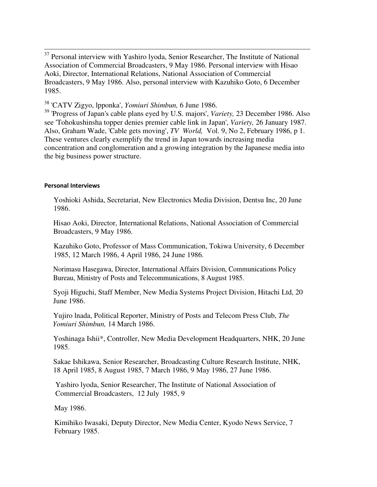<sup>37</sup> Personal interview with Yashiro lyoda, Senior Researcher, The Institute of National Association of Commercial Broadcasters, 9 May 1986. Personal interview with Hisao Aoki, Director, International Relations, National Association of Commercial Broadcasters, 9 May 1986. Also, personal interview with Kazuhiko Goto, 6 December 1985.

<sup>38</sup> 'CATV Zigyo, lpponka', *Yomiuri Shimbun,* 6 June 1986.

<sup>39</sup> 'Progress of Japan's cable plans eyed by U.S. majors', *Variety,* 23 December 1986. Also see 'Tohokushinsha topper denies premier cable link in Japan', *Variety,* 26 January 1987. Also, Graham Wade, 'Cable gets moving', *TV World,* Vol. 9, No 2, February 1986, p 1. These ventures clearly exemplify the trend in Japan towards increasing media concentration and conglomeration and a growing integration by the Japanese media into the big business power structure.

## Personal Interviews

l

Yoshioki Ashida, Secretariat, New Electronics Media Division, Dentsu Inc, 20 June 1986.

Hisao Aoki, Director, International Relations, National Association of Commercial Broadcasters, 9 May 1986.

Kazuhiko Goto, Professor of Mass Communication, Tokiwa University, 6 December 1985, 12 March 1986, 4 April 1986, 24 June 1986.

Norimasu Hasegawa, Director, International Affairs Division, Communications Policy Bureau, Ministry of Posts and Telecommunications, 8 August 1985.

Syoji Higuchi, Staff Member, New Media Systems Project Division, Hitachi Ltd, 20 June 1986.

Yujiro lnada, Political Reporter, Ministry of Posts and Telecom Press Club, *The Yomiuri Shimbun,* 14 March 1986.

Yoshinaga Ishii\*, Controller, New Media Development Headquarters, NHK, 20 June 1985.

Sakae Ishikawa, Senior Researcher, Broadcasting Culture Research Institute, NHK, 18 April 1985, 8 August 1985, 7 March 1986, 9 May 1986, 27 June 1986.

Yashiro lyoda, Senior Researcher, The Institute of National Association of Commercial Broadcasters, 12 July 1985, 9

May 1986.

Kimihiko Iwasaki, Deputy Director, New Media Center, Kyodo News Service, 7 February 1985.